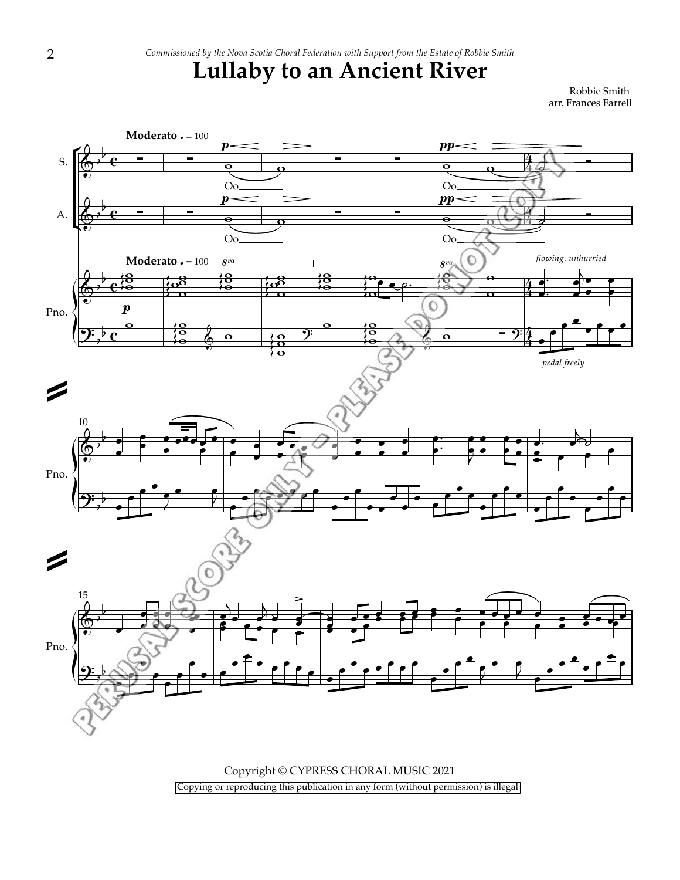## **Lullaby to an Ancient River**

Robbie Smith arr. Frances Farrell



Copyright © CYPRESS CHORAL MUSIC 2021 Copying or reproducing this publication in any form (without permission) is illegal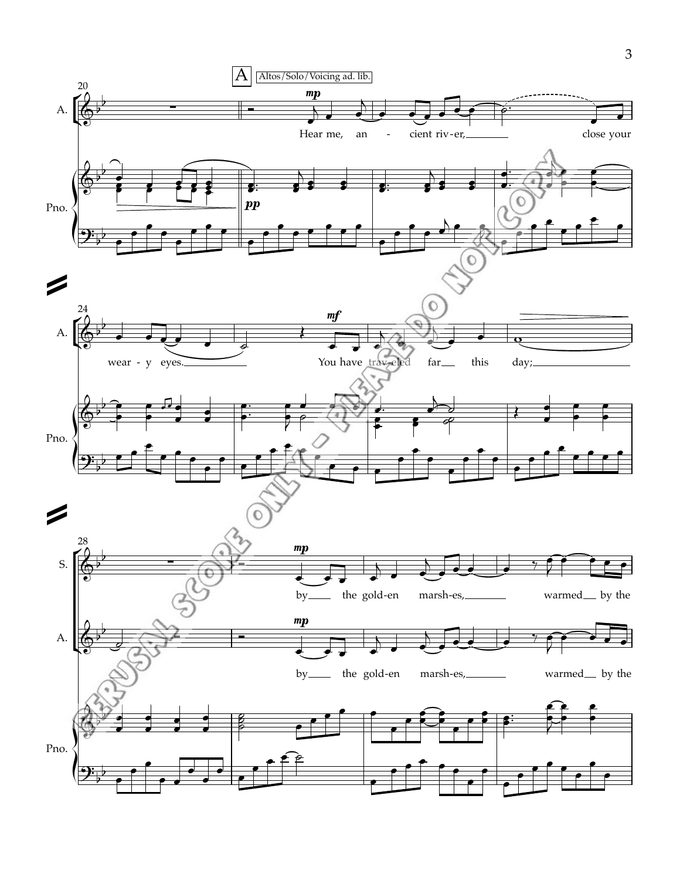

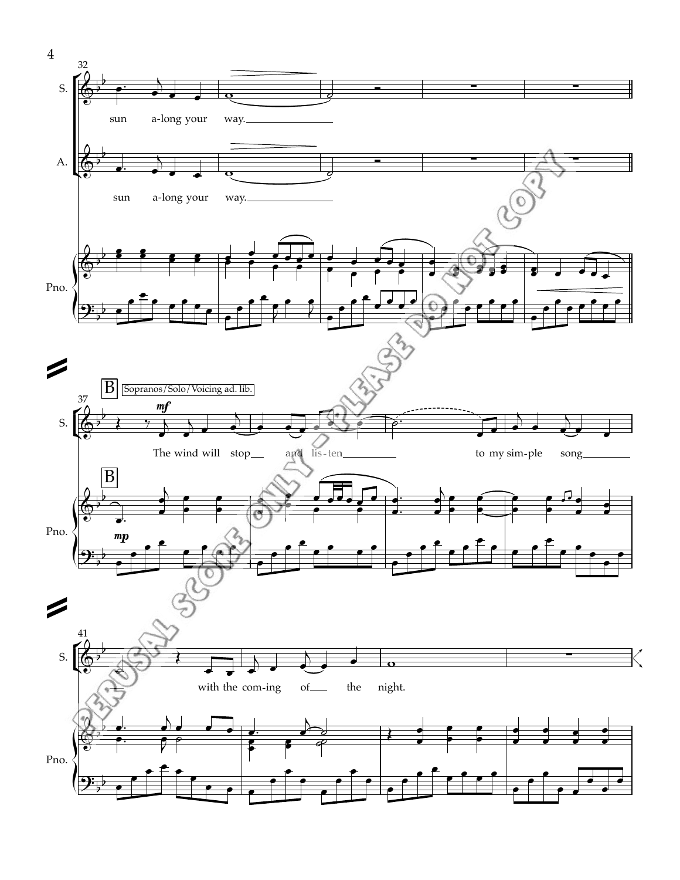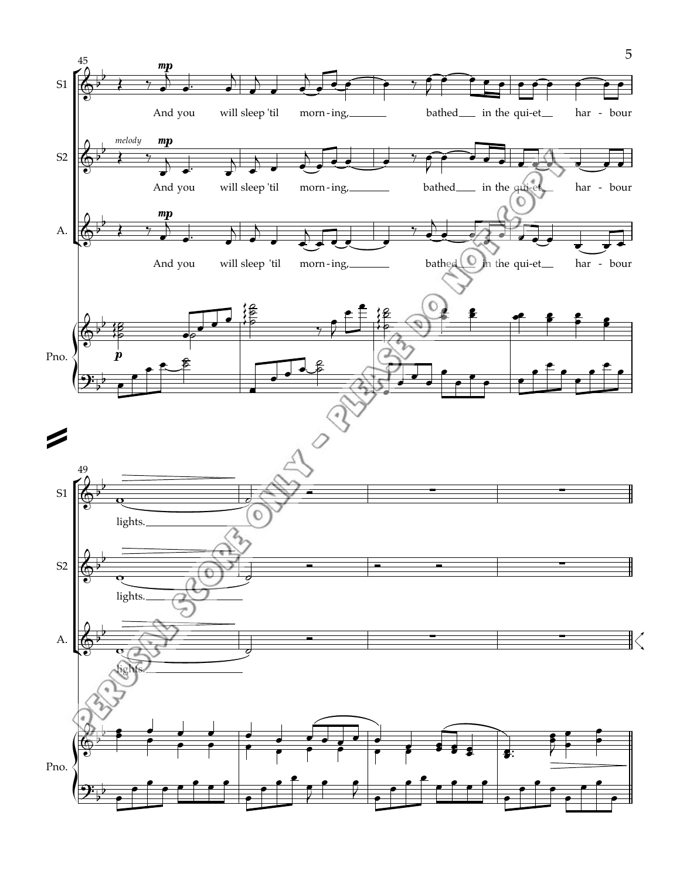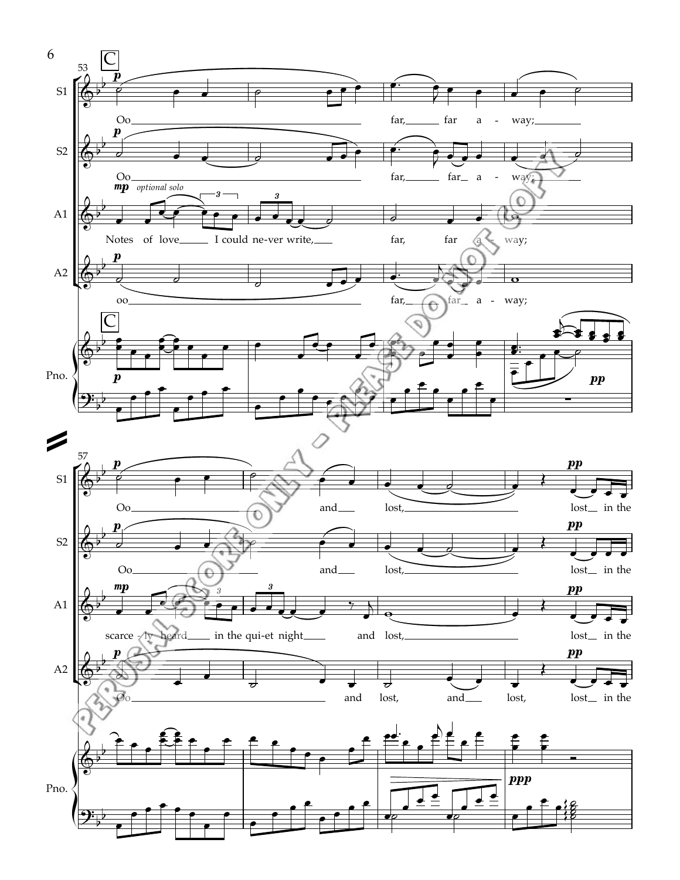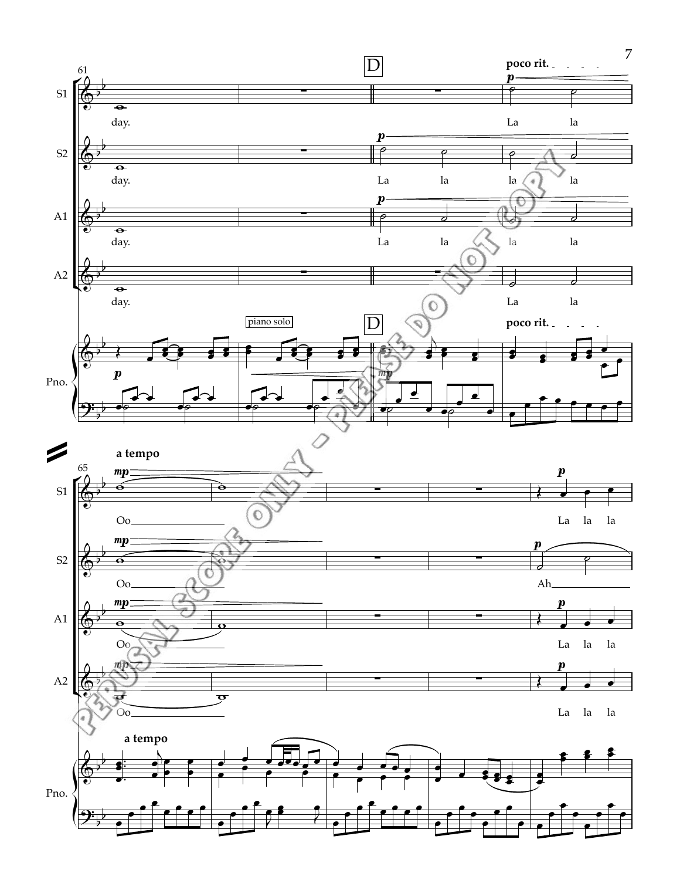

7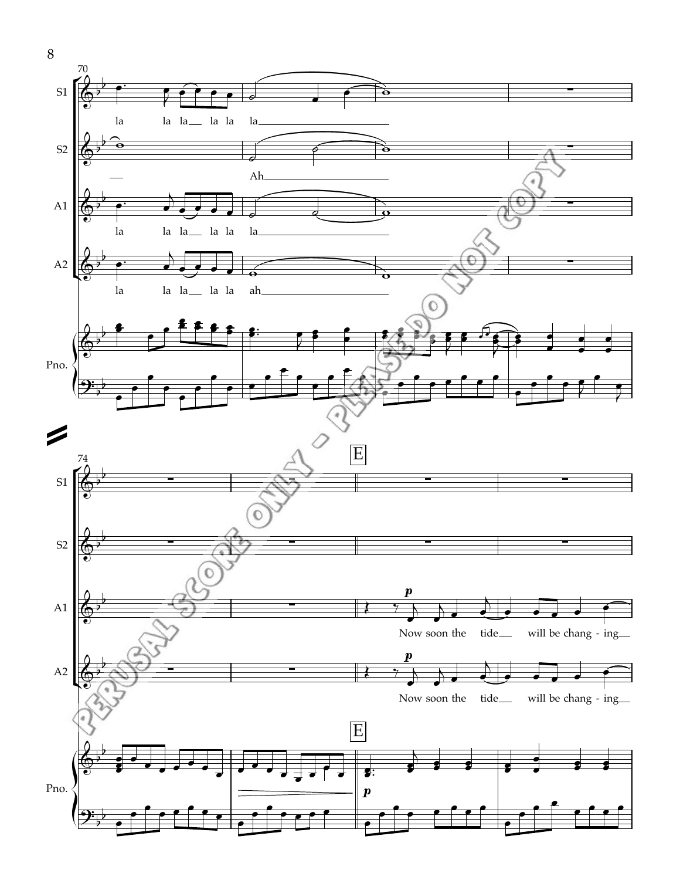

8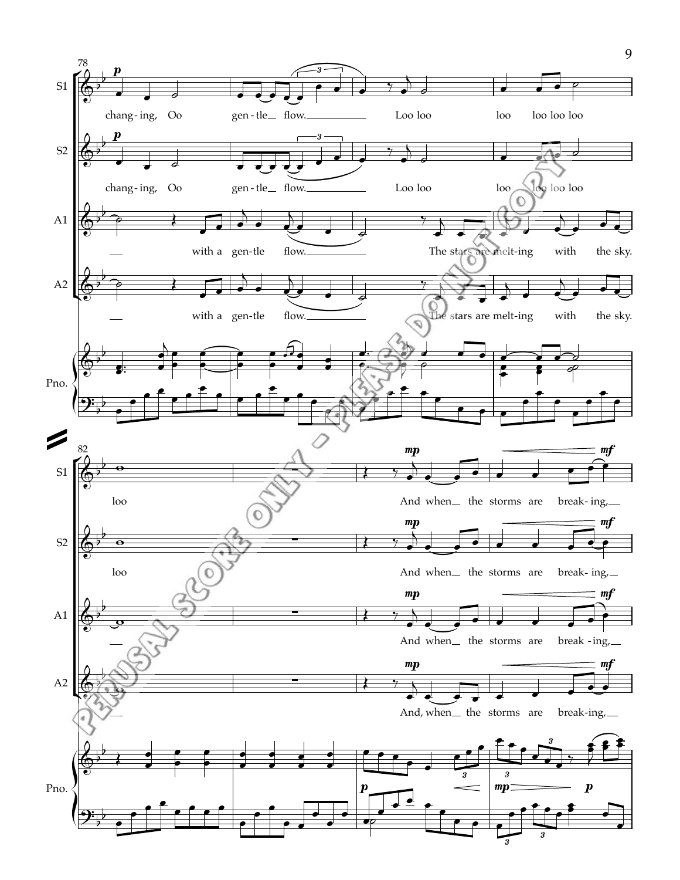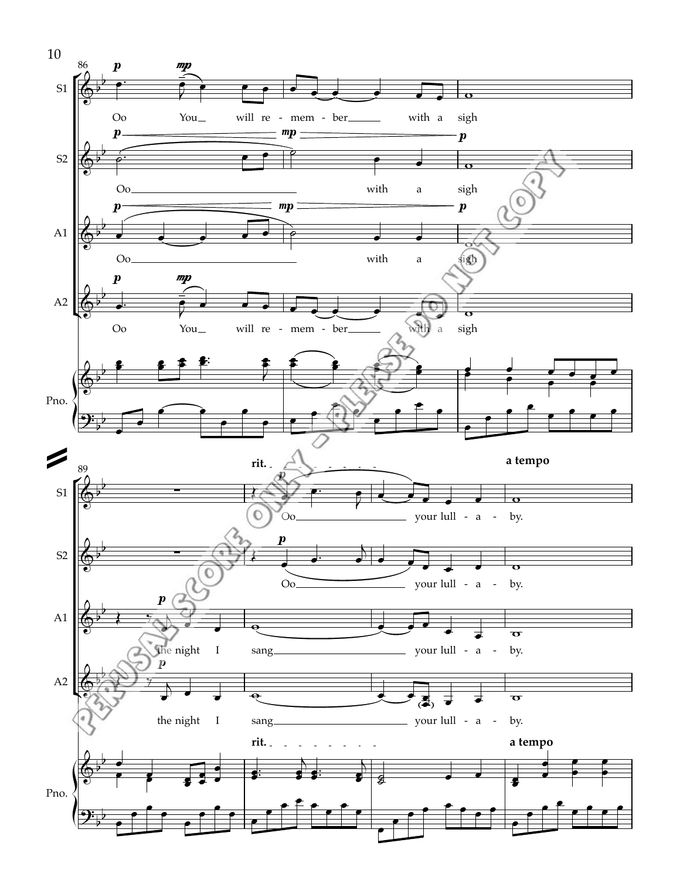